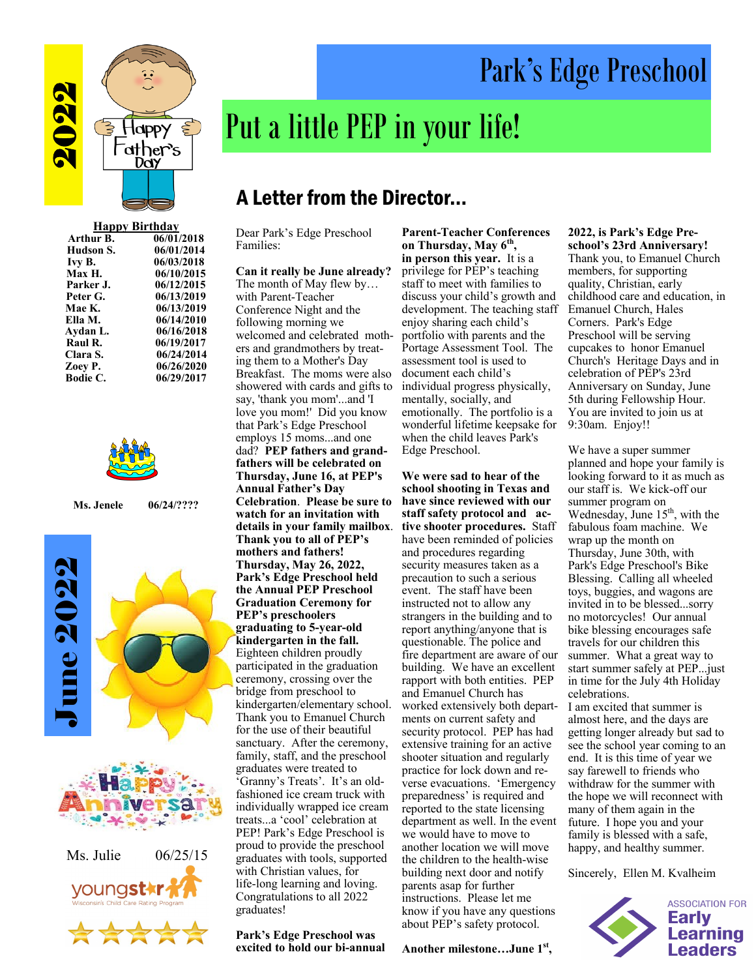

| <b>Happy Birthday</b> |            |
|-----------------------|------------|
| Arthur B.             | 06/01/2018 |
| Hudson S.             | 06/01/2014 |
| Ivy B.                | 06/03/2018 |
| Max H.                | 06/10/2015 |
| Parker J.             | 06/12/2015 |
| Peter G.              | 06/13/2019 |
| Mae K.                | 06/13/2019 |
| Ella M.               | 06/14/2010 |
| Aydan L.              | 06/16/2018 |
| Raul R.               | 06/19/2017 |
| Clara S.              | 06/24/2014 |
| Zoey P.               | 06/26/2020 |
| <b>Bodie C.</b>       | 06/29/2017 |



**Ms. Jenele 06/24/????** 





# Put a little PEP in your life!

## A Letter from the Director...

Dear Park's Edge Preschool Families:

### **Can it really be June already?**

The month of May flew by… with Parent-Teacher Conference Night and the following morning we welcomed and celebrated mothers and grandmothers by treating them to a Mother's Day Breakfast. The moms were also showered with cards and gifts to say, 'thank you mom'...and 'I love you mom!' Did you know that Park's Edge Preschool employs 15 moms...and one dad? **PEP fathers and grandfathers will be celebrated on Thursday, June 16, at PEP's Annual Father's Day Celebration**. **Please be sure to watch for an invitation with details in your family mailbox**. **Thank you to all of PEP's mothers and fathers! Thursday, May 26, 2022, Park's Edge Preschool held the Annual PEP Preschool Graduation Ceremony for PEP's preschoolers graduating to 5-year-old kindergarten in the fall.** Eighteen children proudly participated in the graduation ceremony, crossing over the bridge from preschool to kindergarten/elementary school. Thank you to Emanuel Church for the use of their beautiful sanctuary. After the ceremony, family, staff, and the preschool graduates were treated to 'Granny's Treats'. It's an oldfashioned ice cream truck with individually wrapped ice cream treats...a 'cool' celebration at PEP! Park's Edge Preschool is proud to provide the preschool graduates with tools, supported with Christian values, for life-long learning and loving. Congratulations to all 2022 graduates!

**Park's Edge Preschool was excited to hold our bi-annual** 

**Parent-Teacher Conferences on Thursday, May 6th , in person this year.** It is a privilege for PEP's teaching staff to meet with families to discuss your child's growth and development. The teaching staff enjoy sharing each child's portfolio with parents and the Portage Assessment Tool. The assessment tool is used to document each child's individual progress physically, mentally, socially, and emotionally. The portfolio is a wonderful lifetime keepsake for when the child leaves Park's Edge Preschool.

**We were sad to hear of the school shooting in Texas and have since reviewed with our staff safety protocol and active shooter procedures.** Staff have been reminded of policies and procedures regarding security measures taken as a precaution to such a serious event. The staff have been instructed not to allow any strangers in the building and to report anything/anyone that is questionable. The police and fire department are aware of our building. We have an excellent rapport with both entities. PEP and Emanuel Church has worked extensively both departments on current safety and security protocol. PEP has had extensive training for an active shooter situation and regularly practice for lock down and reverse evacuations. 'Emergency preparedness' is required and reported to the state licensing department as well. In the event we would have to move to another location we will move the children to the health-wise building next door and notify parents asap for further instructions. Please let me know if you have any questions about PEP's safety protocol.

### **Another milestone…June 1st ,**

#### **2022, is Park's Edge Preschool's 23rd Anniversary!**

Park's Edge Preschool

Thank you, to Emanuel Church members, for supporting quality, Christian, early childhood care and education, in Emanuel Church, Hales Corners. Park's Edge Preschool will be serving cupcakes to honor Emanuel Church's Heritage Days and in celebration of PEP's 23rd Anniversary on Sunday, June 5th during Fellowship Hour. You are invited to join us at 9:30am. Enjoy!!

We have a super summer planned and hope your family is looking forward to it as much as our staff is. We kick-off our summer program on Wednesday, June  $15<sup>th</sup>$ , with the fabulous foam machine. We wrap up the month on Thursday, June 30th, with Park's Edge Preschool's Bike Blessing. Calling all wheeled toys, buggies, and wagons are invited in to be blessed...sorry no motorcycles! Our annual bike blessing encourages safe travels for our children this summer. What a great way to start summer safely at PEP...just in time for the July 4th Holiday celebrations. I am excited that summer is almost here, and the days are getting longer already but sad to see the school year coming to an end. It is this time of year we say farewell to friends who withdraw for the summer with the hope we will reconnect with

many of them again in the future. I hope you and your family is blessed with a safe, happy, and healthy summer.

Sincerely, Ellen M. Kvalheim

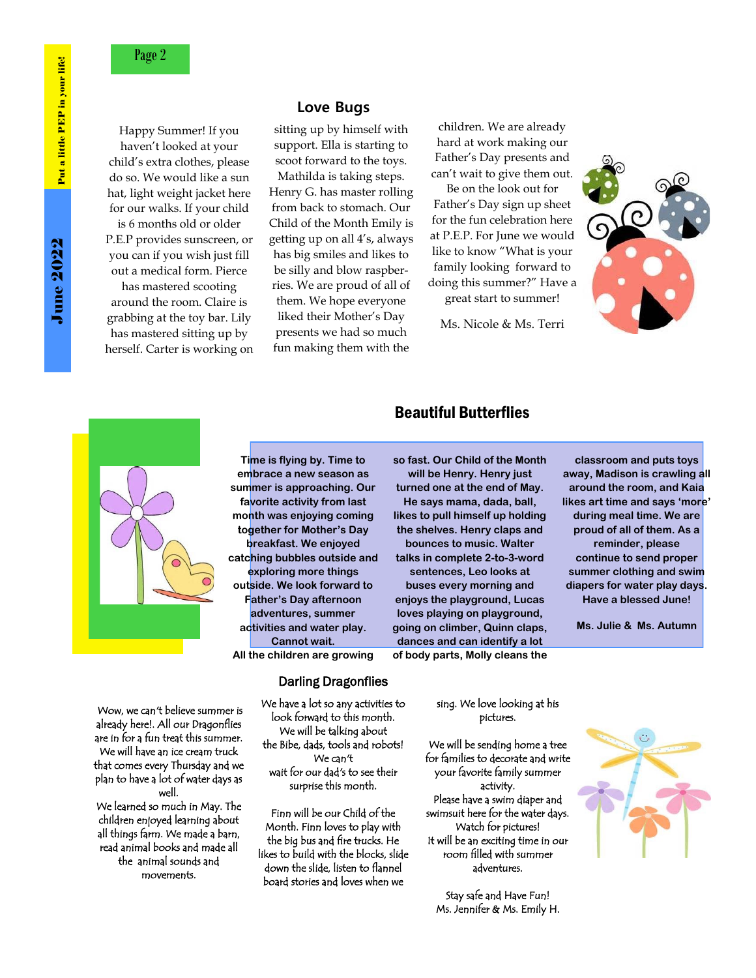Happy Summer! If you haven't looked at your child's extra clothes, please do so. We would like a sun hat, light weight jacket here for our walks. If your child is 6 months old or older P.E.P provides sunscreen, or you can if you wish just fill out a medical form. Pierce has mastered scooting around the room. Claire is grabbing at the toy bar. Lily has mastered sitting up by herself. Carter is working on

## **Love Bugs**

sitting up by himself with support. Ella is starting to scoot forward to the toys.

Mathilda is taking steps. Henry G. has master rolling from back to stomach. Our Child of the Month Emily is getting up on all 4's, always has big smiles and likes to be silly and blow raspberries. We are proud of all of them. We hope everyone liked their Mother's Day presents we had so much fun making them with the

children. We are already hard at work making our Father's Day presents and can't wait to give them out.

Be on the look out for Father's Day sign up sheet for the fun celebration here at P.E.P. For June we would like to know "What is your family looking forward to doing this summer?" Have a great start to summer!

Ms. Nicole & Ms. Terri





**Time is flying by. Time to embrace a new season as summer is approaching. Our favorite activity from last month was enjoying coming together for Mother's Day breakfast. We enjoyed catching bubbles outside and exploring more things outside. We look forward to Father's Day afternoon adventures, summer activities and water play. Cannot wait. All the children are growing** 

**so fast. Our Child of the Month will be Henry. Henry just turned one at the end of May. He says mama, dada, ball, likes to pull himself up holding the shelves. Henry claps and bounces to music. Walter talks in complete 2-to-3-word sentences, Leo looks at buses every morning and enjoys the playground, Lucas loves playing on playground, going on climber, Quinn claps,** 

**dances and can identify a lot of body parts, Molly cleans the** 

Beautiful Butterflies

**classroom and puts toys away, Madison is crawling all around the room, and Kaia likes art time and says 'more' during meal time. We are proud of all of them. As a reminder, please continue to send proper summer clothing and swim diapers for water play days. Have a blessed June!**

**Ms. Julie & Ms. Autumn**

 Wow, we can't believe summer is already here!. All our Dragonflies are in for a fun treat this summer. We will have an ice cream truck that comes every Thursday and we plan to have a lot of water days as well.

We learned so much in May. The children enjoyed learning about all things farm. We made a barn, read animal books and made all the animal sounds and movements.

#### Darling Dragonflies

We have a lot so any activities to look forward to this month. We will be talking about the Bibe, dads, tools and robots! We can't wait for our dad's to see their surprise this month.

Finn will be our Child of the Month. Finn loves to play with the big bus and fire trucks. He likes to build with the blocks, slide down the slide, listen to flannel board stories and loves when we

sing. We love looking at his pictures.

We will be sending home a tree for families to decorate and write your favorite family summer activity. Please have a swim diaper and swimsuit here for the water days. Watch for pictures! It will be an exciting time in our room filled with summer adventures.

Stay safe and Have Fun! Ms. Jennifer & Ms. Emily H.

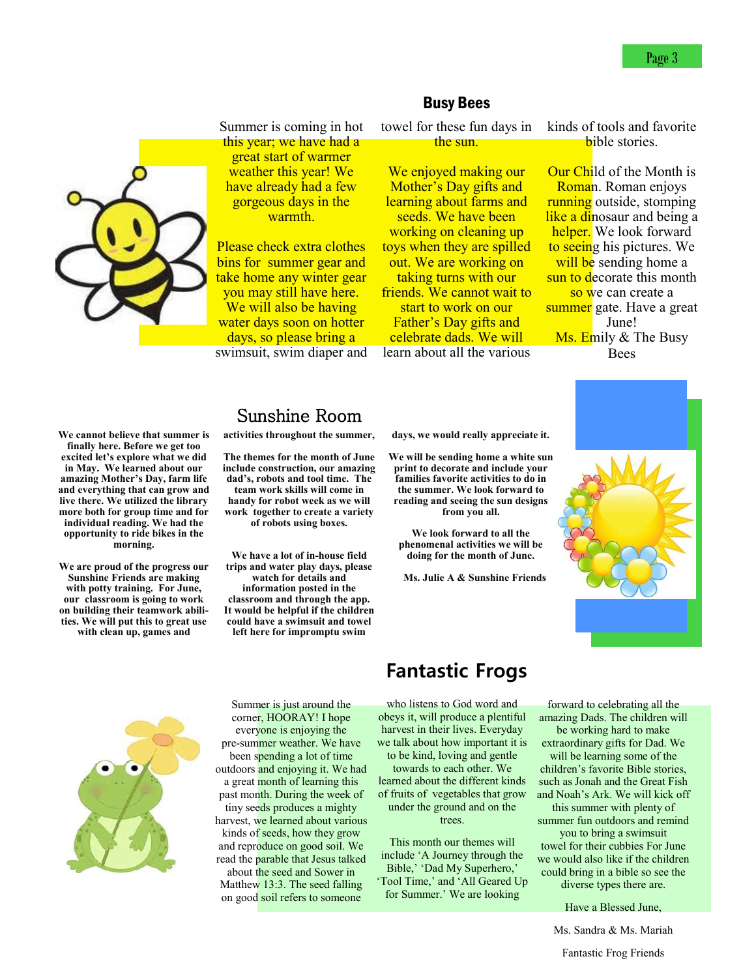

Summer is coming in hot this year; we have had a great start of warmer weather this year! We have already had a few gorgeous days in the warmth.

Please check extra clothes bins for summer gear and take home any winter gear you may still have here. We will also be having water days soon on hotter days, so please bring a swimsuit, swim diaper and

## Busy Bees

towel for these fun days in the sun.

We enjoyed making our Mother's Day gifts and learning about farms and seeds. We have been working on cleaning up toys when they are spilled out. We are working on taking turns with our friends. We cannot wait to start to work on our Father's Day gifts and celebrate dads. We will learn about all the various

kinds of tools and favorite bible stories.

**Our Child of the Month is** Roman. Roman enjoys **running** outside, stomping like a dinosaur and being a helper. We look forward to seeing his pictures. We will be sending home a sun to decorate this month so we can create a summer gate. Have a great June! Ms. Emily & The Busy Bees

**We cannot believe that summer is finally here. Before we get too excited let's explore what we did in May. We learned about our amazing Mother's Day, farm life and everything that can grow and live there. We utilized the library more both for group time and for individual reading. We had the opportunity to ride bikes in the morning.** 

**We are proud of the progress our Sunshine Friends are making with potty training. For June, our classroom is going to work on building their teamwork abilities. We will put this to great use with clean up, games and** 

## Sunshine Room

**activities throughout the summer,** 

**The themes for the month of June include construction, our amazing dad's, robots and tool time. The team work skills will come in handy for robot week as we will work together to create a variety of robots using boxes.** 

**We have a lot of in-house field trips and water play days, please watch for details and information posted in the classroom and through the app. It would be helpful if the children could have a swimsuit and towel left here for impromptu swim** 

**days, we would really appreciate it.** 

**We will be sending home a white sun print to decorate and include your families favorite activities to do in the summer. We look forward to reading and seeing the sun designs from you all.** 

**We look forward to all the phenomenal activities we will be doing for the month of June.** 

 **Ms. Julie A & Sunshine Friends**





Summer is just around the corner, HOORAY! I hope everyone is enjoying the pre-summer weather. We have been spending a lot of time outdoors and enjoying it. We had a great month of learning this past month. During the week of tiny seeds produces a mighty harvest, we learned about various kinds of seeds, how they grow and reproduce on good soil. We read the parable that Jesus talked about the seed and Sower in Matthew 13:3. The seed falling on good soil refers to someone

## **Fantastic Frogs**

who listens to God word and obeys it, will produce a plentiful harvest in their lives. Everyday we talk about how important it is to be kind, loving and gentle towards to each other. We learned about the different kinds of fruits of vegetables that grow under the ground and on the trees.

This month our themes will include 'A Journey through the Bible,' 'Dad My Superhero,' 'Tool Time,' and 'All Geared Up for Summer.' We are looking

forward to celebrating all the amazing Dads. The children will be working hard to make

extraordinary gifts for Dad. We will be learning some of the children's favorite Bible stories,

such as Jonah and the Great Fish and Noah's Ark. We will kick off this summer with plenty of

summer fun outdoors and remind you to bring a swimsuit

towel for their cubbies For June we would also like if the children could bring in a bible so see the diverse types there are.

Have a Blessed June,

Ms. Sandra & Ms. Mariah

Fantastic Frog Friends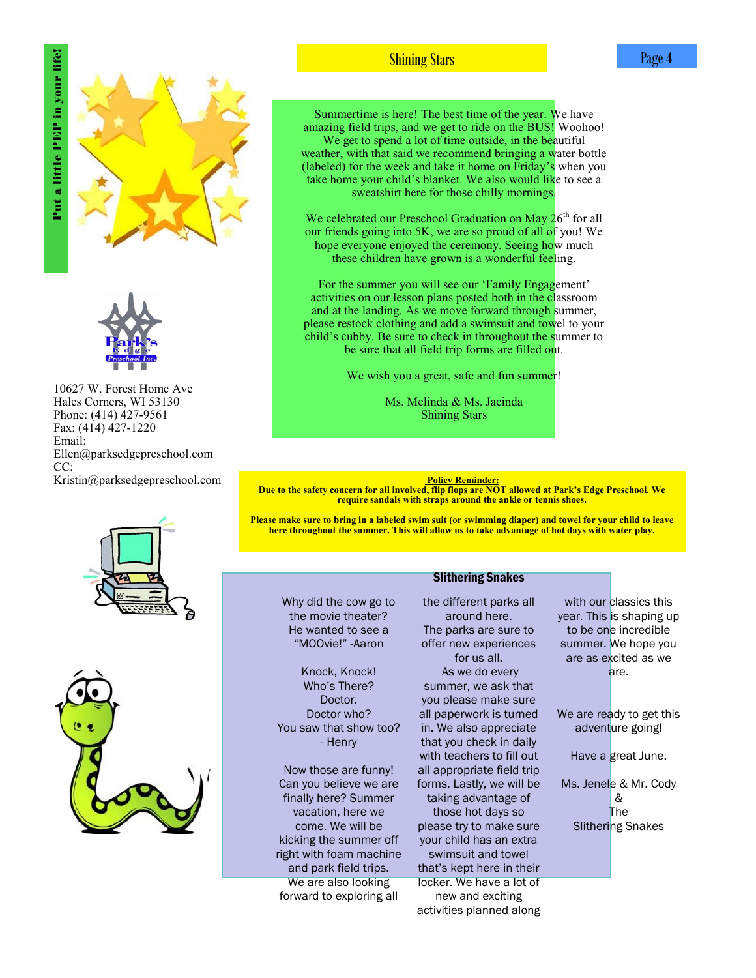Put a little PEP in your life! Put a little PEP in your life!





10627 W. Forest Home Ave Hales Corners, WI 53130 Phone: (414) 427-9561 Fax: (414) 427-1220 Email: Ellen@parksedgepreschool.com CC: Kristin@parksedgepreschool.com **Policy Reminder:** Policy Reminder:





Shining Stars

Summertime is here! The best time of the year. We have amazing field trips, and we get to ride on the BUS! Woohoo! We get to spend a lot of time outside, in the beautiful weather, with that said we recommend bringing a water bottle (labeled) for the week and take it home on Friday's when you take home your child's blanket. We also would like to see a sweatshirt here for those chilly mornings.

We celebrated our Preschool Graduation on May  $26<sup>th</sup>$  for all our friends going into 5K, we are so proud of all of you! We hope everyone enjoyed the ceremony. Seeing how much these children have grown is a wonderful feeling.

For the summer you will see our 'Family Engagement' activities on our lesson plans posted both in the classroom and at the landing. As we move forward through summer, please restock clothing and add a swimsuit and towel to your child's cubby. Be sure to check in throughout the summer to be sure that all field trip forms are filled out.

We wish you a great, safe and fun summer!

Ms. Melinda & Ms. Jacinda Shining Stars

**Due to the safety concern for all involved, flip flops are NOT allowed at Park's Edge Preschool. We require sandals with straps around the ankle or tennis shoes.**

**Please make sure to bring in a labeled swim suit (or swimming diaper) and towel for your child to leave here throughout the summer. This will allow us to take advantage of hot days with water play.** 

Slithering Snakes

#### Why did the cow go to the movie theater? He wanted to see a "MOOvie!" -Aaron

Knock, Knock! Who's There? Doctor. Doctor who? You saw that show too? - Henry

Now those are funny! Can you believe we are finally here? Summer vacation, here we come. We will be kicking the summer off right with foam machine and park field trips. We are also looking forward to exploring all

the different parks all around here. The parks are sure to offer new experiences for us all. As we do every summer, we ask that you please make sure all paperwork is turned in. We also appreciate that you check in daily with teachers to fill out all appropriate field trip forms. Lastly, we will be taking advantage of those hot days so please try to make sure your child has an extra swimsuit and towel that's kept here in their locker. We have a lot of new and exciting activities planned along

with our classics this year. This is shaping up to be one incredible summer. We hope you are as excited as we are.

We are ready to get this adventure going!

Have a great June.

Ms. Jenele & Mr. Cody & The Slithering Snakes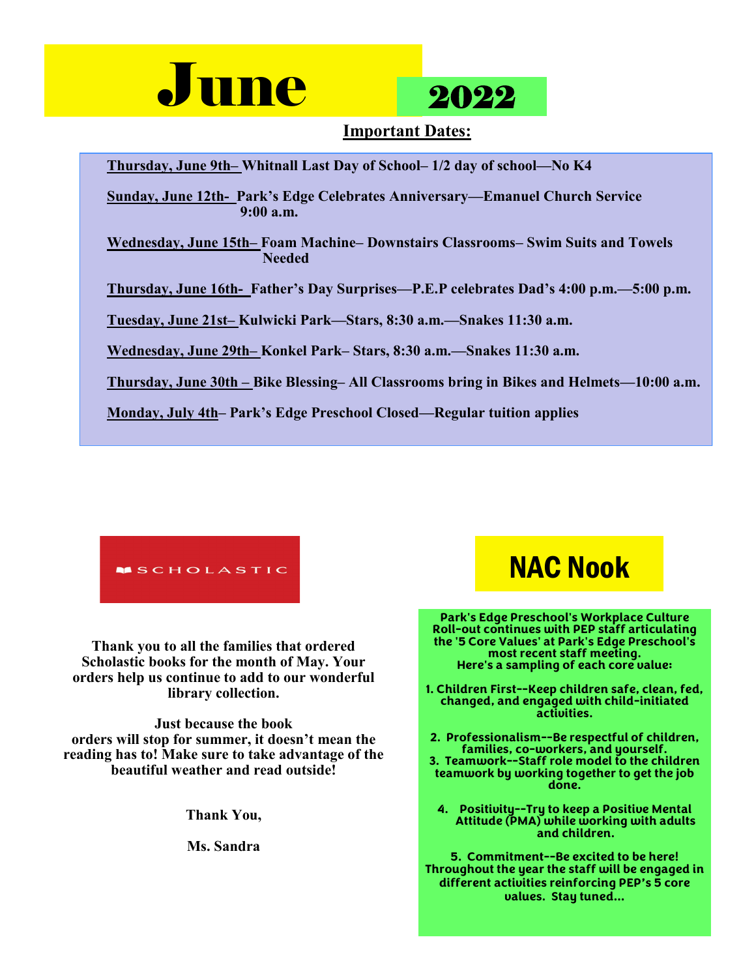



## **Important Dates:**

**Thursday, June 9th– Whitnall Last Day of School– 1/2 day of school—No K4**

**Sunday, June 12th- Park's Edge Celebrates Anniversary—Emanuel Church Service 9:00 a.m.** 

**Wednesday, June 15th– Foam Machine– Downstairs Classrooms– Swim Suits and Towels Needed** 

**Thursday, June 16th- Father's Day Surprises—P.E.P celebrates Dad's 4:00 p.m.—5:00 p.m.** 

**Tuesday, June 21st– Kulwicki Park—Stars, 8:30 a.m.—Snakes 11:30 a.m.** 

**Wednesday, June 29th– Konkel Park– Stars, 8:30 a.m.—Snakes 11:30 a.m.**

**Thursday, June 30th – Bike Blessing– All Classrooms bring in Bikes and Helmets—10:00 a.m.** 

**Monday, July 4th– Park's Edge Preschool Closed—Regular tuition applies**



**Thank you to all the families that ordered Scholastic books for the month of May. Your orders help us continue to add to our wonderful library collection.** 

**Just because the book orders will stop for summer, it doesn't mean the reading has to! Make sure to take advantage of the beautiful weather and read outside!** 

**Thank You,**

**Ms. Sandra**

# NAC Nook

**Park's Edge Preschool's Workplace Culture Roll-out continues with PEP staff articulating the '5 Core Values' at Park's Edge Preschool's most recent staff meeting. Here's a sampling of each core value:** 

**1. Children First--Keep children safe, clean, fed, changed, and engaged with child-initiated activities.** 

**2. Professionalism--Be respectful of children, families, co-workers, and yourself. 3. Teamwork--Staff role model to the children teamwork by working together to get the job done.** 

**4. Positivity--Try to keep a Positive Mental Attitude (PMA) while working with adults and children.** 

**5. Commitment--Be excited to be here! Throughout the year the staff will be engaged in different activities reinforcing PEP's 5 core values. Stay tuned…**